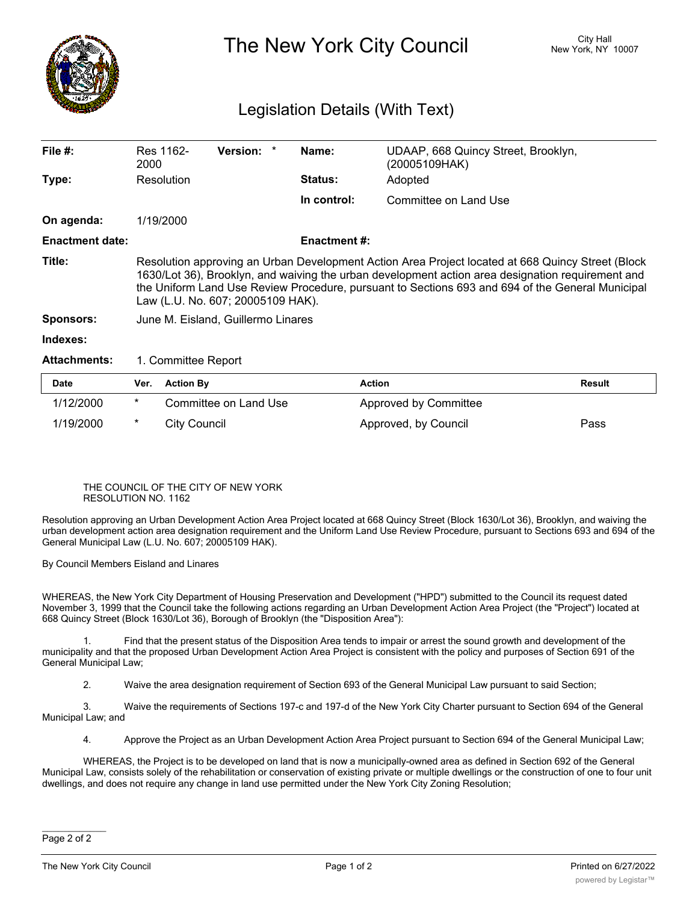

## The New York City Council New York, NY 10007

## Legislation Details (With Text)

| File $#$ :             | Res 1162-<br>2000                                                                                                                                                                                                                                                                                                                               | <b>Version:</b> |  | Name:               | UDAAP, 668 Quincy Street, Brooklyn,<br>(20005109HAK) |  |  |
|------------------------|-------------------------------------------------------------------------------------------------------------------------------------------------------------------------------------------------------------------------------------------------------------------------------------------------------------------------------------------------|-----------------|--|---------------------|------------------------------------------------------|--|--|
| Type:                  | Resolution                                                                                                                                                                                                                                                                                                                                      |                 |  | <b>Status:</b>      | Adopted                                              |  |  |
|                        |                                                                                                                                                                                                                                                                                                                                                 |                 |  | In control:         | Committee on Land Use                                |  |  |
| On agenda:             | 1/19/2000                                                                                                                                                                                                                                                                                                                                       |                 |  |                     |                                                      |  |  |
| <b>Enactment date:</b> |                                                                                                                                                                                                                                                                                                                                                 |                 |  | <b>Enactment #:</b> |                                                      |  |  |
| Title:                 | Resolution approving an Urban Development Action Area Project located at 668 Quincy Street (Block<br>1630/Lot 36), Brooklyn, and waiving the urban development action area designation requirement and<br>the Uniform Land Use Review Procedure, pursuant to Sections 693 and 694 of the General Municipal<br>Law (L.U. No. 607; 20005109 HAK). |                 |  |                     |                                                      |  |  |
| Sponsors:              | June M. Eisland, Guillermo Linares                                                                                                                                                                                                                                                                                                              |                 |  |                     |                                                      |  |  |
| Indexes:               |                                                                                                                                                                                                                                                                                                                                                 |                 |  |                     |                                                      |  |  |
| <b>Attachments:</b>    | 1. Committee Report                                                                                                                                                                                                                                                                                                                             |                 |  |                     |                                                      |  |  |

| <b>Date</b> | Ver. | <b>Action By</b>      | Action                | Result |
|-------------|------|-----------------------|-----------------------|--------|
| 1/12/2000   |      | Committee on Land Use | Approved by Committee |        |
| 1/19/2000   | *    | City Council          | Approved, by Council  | Pass   |

## THE COUNCIL OF THE CITY OF NEW YORK RESOLUTION NO. 1162

Resolution approving an Urban Development Action Area Project located at 668 Quincy Street (Block 1630/Lot 36), Brooklyn, and waiving the urban development action area designation requirement and the Uniform Land Use Review Procedure, pursuant to Sections 693 and 694 of the General Municipal Law (L.U. No. 607; 20005109 HAK).

By Council Members Eisland and Linares

WHEREAS, the New York City Department of Housing Preservation and Development ("HPD") submitted to the Council its request dated November 3, 1999 that the Council take the following actions regarding an Urban Development Action Area Project (the "Project") located at 668 Quincy Street (Block 1630/Lot 36), Borough of Brooklyn (the "Disposition Area"):

1. Find that the present status of the Disposition Area tends to impair or arrest the sound growth and development of the municipality and that the proposed Urban Development Action Area Project is consistent with the policy and purposes of Section 691 of the General Municipal Law;

2. Waive the area designation requirement of Section 693 of the General Municipal Law pursuant to said Section;

3. Waive the requirements of Sections 197-c and 197-d of the New York City Charter pursuant to Section 694 of the General Municipal Law; and

4. Approve the Project as an Urban Development Action Area Project pursuant to Section 694 of the General Municipal Law;

WHEREAS, the Project is to be developed on land that is now a municipally-owned area as defined in Section 692 of the General Municipal Law, consists solely of the rehabilitation or conservation of existing private or multiple dwellings or the construction of one to four unit dwellings, and does not require any change in land use permitted under the New York City Zoning Resolution;